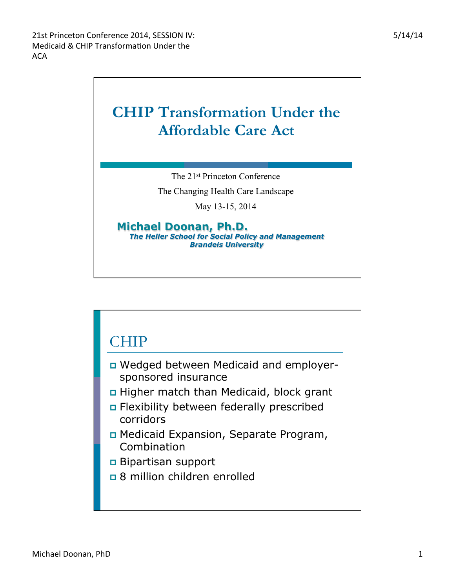## **CHIP Transformation Under the Affordable Care Act**

The 21st Princeton Conference

The Changing Health Care Landscape

May 13-15, 2014

**Michael Doonan, Ph.D.**  *The Heller School for Social Policy and Management Brandeis University* 

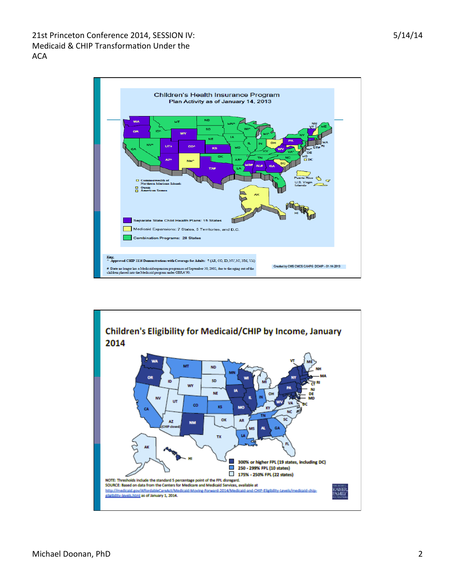21st Princeton Conference 2014, SESSION IV: Medicaid & CHIP Transformation Under the ACA 



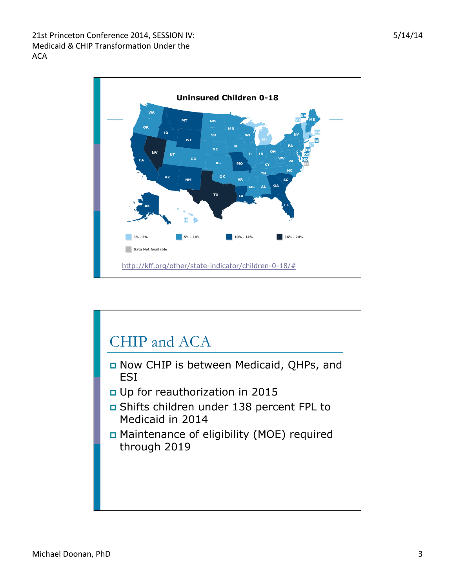21st Princeton Conference 2014, SESSION IV: Medicaid & CHIP Transformation Under the ACA 



## CHIP and ACA p Now CHIP is between Medicaid, QHPs, and ESI p Up for reauthorization in 2015 p Shifts children under 138 percent FPL to Medicaid in 2014 p Maintenance of eligibility (MOE) required through 2019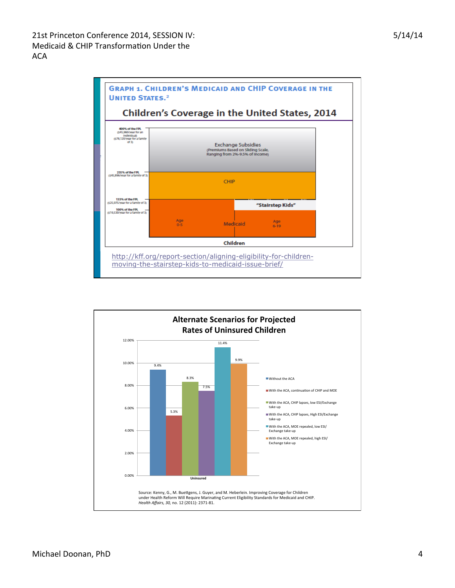

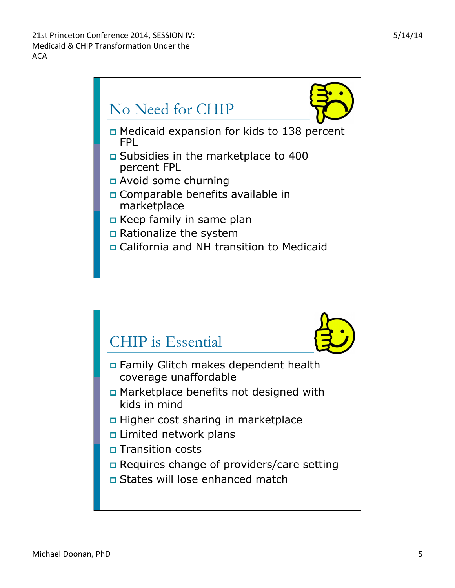

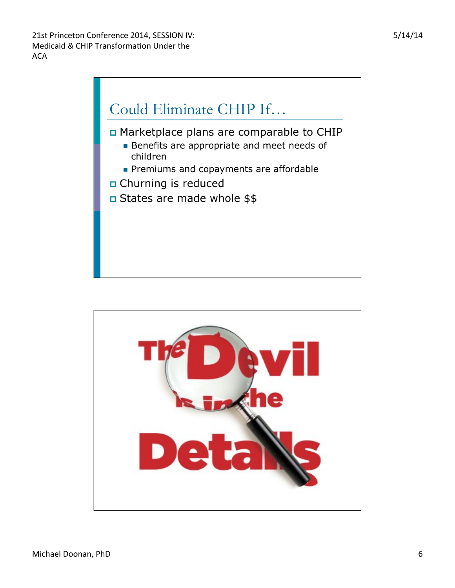

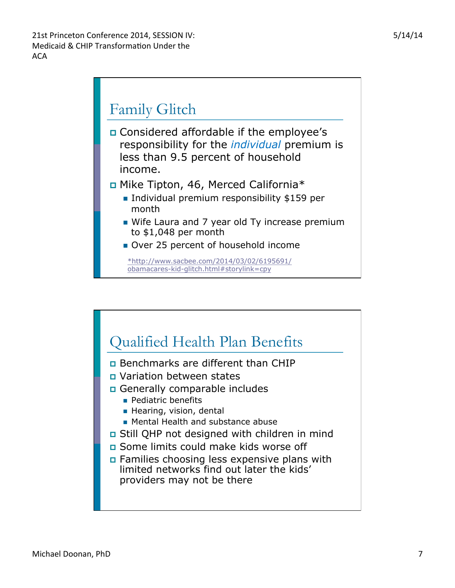

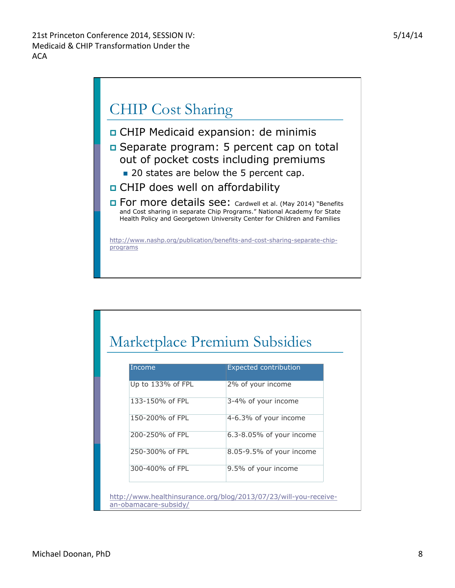## CHIP Cost Sharing

- p CHIP Medicaid expansion: de minimis
- p Separate program: 5 percent cap on total out of pocket costs including premiums
	- 20 states are below the 5 percent cap.
- p CHIP does well on affordability
- **D** For more details see: Cardwell et al. (May 2014) "Benefits and Cost sharing in separate Chip Programs." National Academy for State Health Policy and Georgetown University Center for Children and Families

http://www.nashp.org/publication/benefits-and-cost-sharing-separate-chipprograms

## Marketplace Premium Subsidies

| Income                | <b>Expected contribution</b>                                     |
|-----------------------|------------------------------------------------------------------|
| Up to 133% of FPL     | 2% of your income                                                |
| 133-150% of FPL       | 3-4% of your income                                              |
| 150-200% of FPL       | 4-6.3% of your income                                            |
| 200-250% of FPL       | $6.3 - 8.05\%$ of your income                                    |
| 250-300% of FPL       | 8.05-9.5% of your income                                         |
| 300-400% of FPI       | 9.5% of your income                                              |
|                       |                                                                  |
| an-obamacare-subsidy/ | http://www.healthinsurance.org/blog/2013/07/23/will-you-receive- |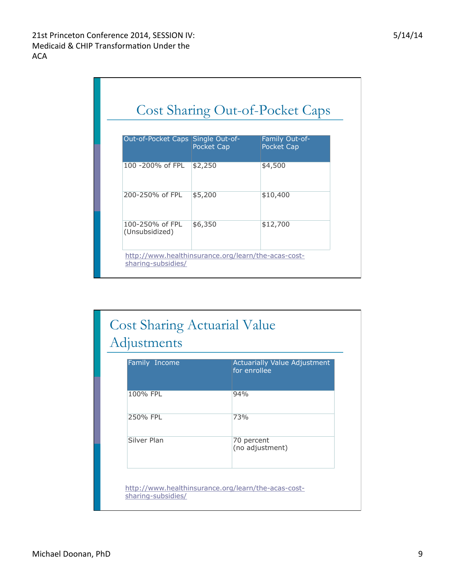| Out-of-Pocket Caps Single Out-of- | <b>Pocket Cap</b> | Family Out-of-<br><b>Pocket Cap</b> |  |  |  |  |
|-----------------------------------|-------------------|-------------------------------------|--|--|--|--|
| 100 -200% of FPL                  | \$2,250           | \$4,500                             |  |  |  |  |
| 200-250% of FPL                   | \$5,200           | \$10,400                            |  |  |  |  |
| 100-250% of FPL<br>(Unsubsidized) | \$6,350           | \$12,700                            |  |  |  |  |

| Family Income | Actuarially Value Adjustment<br>for enrollee |
|---------------|----------------------------------------------|
| 100% FPL      | 94%                                          |
|               |                                              |
| 250% FPL      | 73%                                          |
| Silver Plan   | 70 percent<br>(no adjustment)                |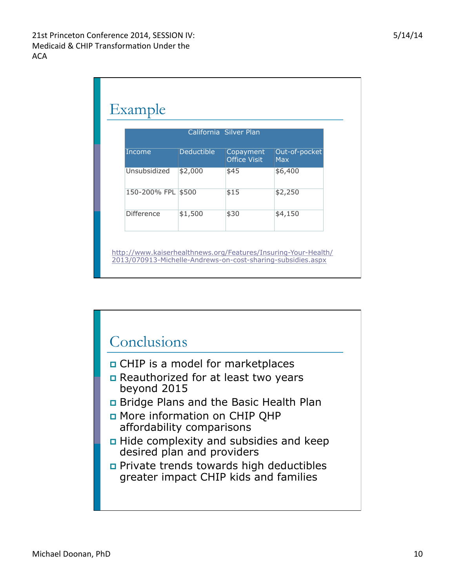| California Silver Plan |                   |                                  |                             |  |  |  |
|------------------------|-------------------|----------------------------------|-----------------------------|--|--|--|
| Income                 | <b>Deductible</b> | Copayment<br><b>Office Visit</b> | Out-of-pocket<br><b>Max</b> |  |  |  |
| Unsubsidized           | \$2,000           | \$45                             | \$6,400                     |  |  |  |
| 150-200% FPL           | \$500             | \$15                             | \$2,250                     |  |  |  |
| <b>Difference</b>      | \$1,500           | \$30                             | \$4,150                     |  |  |  |